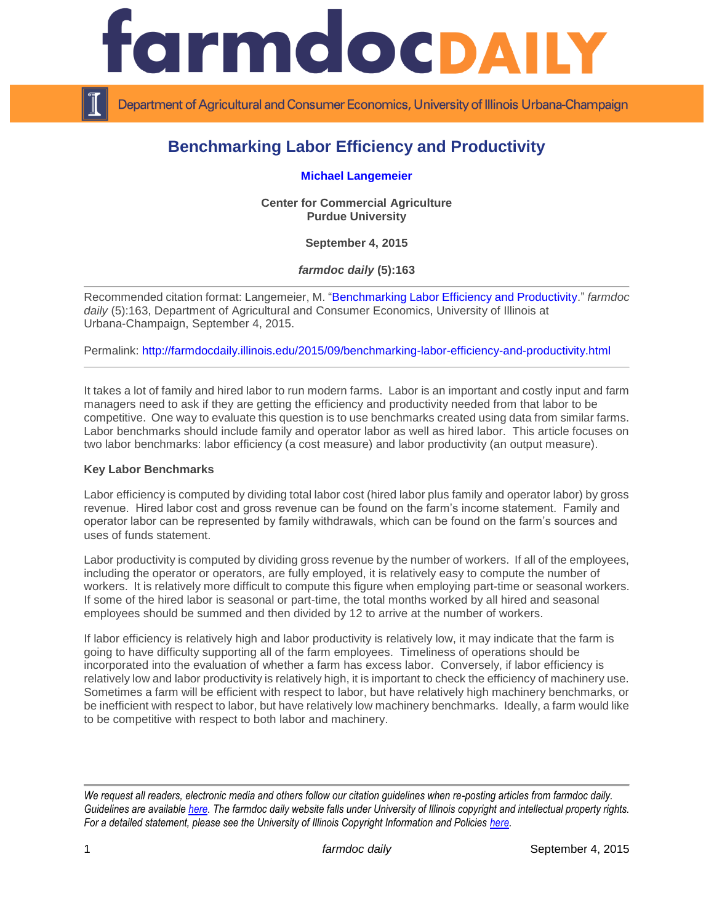

Department of Agricultural and Consumer Economics, University of Illinois Urbana-Champaign

## **Benchmarking Labor Efficiency and Productivity**

**[Michael Langemeier](https://ag.purdue.edu/commercialag/Pages/Faculty-Staff/Langemeier.aspx)**

**Center for Commercial Agriculture Purdue University**

**September 4, 2015**

*farmdoc daily* **(5):163**

Recommended citation format: Langemeier, M. ["Benchmarking Labor Efficiency and Productivity.](http://farmdocdaily.illinois.edu/2015/09/benchmarking-labor-efficiency-and-productivity.html)" *farmdoc daily* (5):163, Department of Agricultural and Consumer Economics, University of Illinois at Urbana-Champaign, September 4, 2015.

Permalink:<http://farmdocdaily.illinois.edu/2015/09/benchmarking-labor-efficiency-and-productivity.html>

It takes a lot of family and hired labor to run modern farms. Labor is an important and costly input and farm managers need to ask if they are getting the efficiency and productivity needed from that labor to be competitive. One way to evaluate this question is to use benchmarks created using data from similar farms. Labor benchmarks should include family and operator labor as well as hired labor. This article focuses on two labor benchmarks: labor efficiency (a cost measure) and labor productivity (an output measure).

## **Key Labor Benchmarks**

Labor efficiency is computed by dividing total labor cost (hired labor plus family and operator labor) by gross revenue. Hired labor cost and gross revenue can be found on the farm's income statement. Family and operator labor can be represented by family withdrawals, which can be found on the farm's sources and uses of funds statement.

Labor productivity is computed by dividing gross revenue by the number of workers. If all of the employees, including the operator or operators, are fully employed, it is relatively easy to compute the number of workers. It is relatively more difficult to compute this figure when employing part-time or seasonal workers. If some of the hired labor is seasonal or part-time, the total months worked by all hired and seasonal employees should be summed and then divided by 12 to arrive at the number of workers.

If labor efficiency is relatively high and labor productivity is relatively low, it may indicate that the farm is going to have difficulty supporting all of the farm employees. Timeliness of operations should be incorporated into the evaluation of whether a farm has excess labor. Conversely, if labor efficiency is relatively low and labor productivity is relatively high, it is important to check the efficiency of machinery use. Sometimes a farm will be efficient with respect to labor, but have relatively high machinery benchmarks, or be inefficient with respect to labor, but have relatively low machinery benchmarks. Ideally, a farm would like to be competitive with respect to both labor and machinery.

*We request all readers, electronic media and others follow our citation guidelines when re-posting articles from farmdoc daily. Guidelines are available [here.](http://farmdocdaily.illinois.edu/citationguide.html) The farmdoc daily website falls under University of Illinois copyright and intellectual property rights. For a detailed statement, please see the University of Illinois Copyright Information and Policies [here.](http://www.cio.illinois.edu/policies/copyright/)*